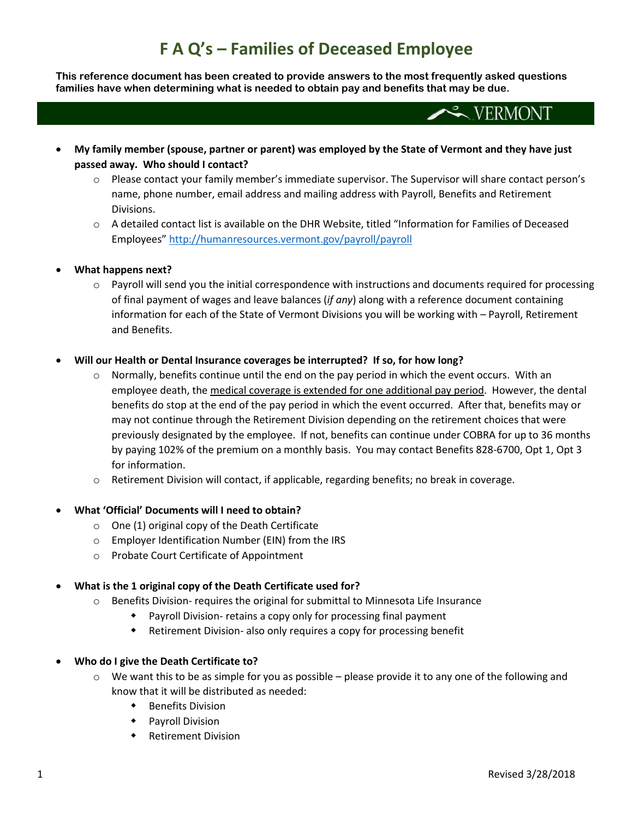## **F A Q's – Families of Deceased Employee**

**This reference document has been created to provide answers to the most frequently asked questions families have when determining what is needed to obtain pay and benefits that may be due.**

- $\sim$  VERMONT
- **My family member (spouse, partner or parent) was employed by the State of Vermont and they have just passed away. Who should I contact?**
	- $\circ$  Please contact your family member's immediate supervisor. The Supervisor will share contact person's name, phone number, email address and mailing address with Payroll, Benefits and Retirement Divisions.
	- o A detailed contact list is available on the DHR Website, titled "Information for Families of Deceased Employees" <http://humanresources.vermont.gov/payroll/payroll>

### • **What happens next?**

o Payroll will send you the initial correspondence with instructions and documents required for processing of final payment of wages and leave balances (*if any*) along with a reference document containing information for each of the State of Vermont Divisions you will be working with – Payroll, Retirement and Benefits.

### • **Will our Health or Dental Insurance coverages be interrupted? If so, for how long?**

- $\circ$  Normally, benefits continue until the end on the pay period in which the event occurs. With an employee death, the medical coverage is extended for one additional pay period. However, the dental benefits do stop at the end of the pay period in which the event occurred. After that, benefits may or may not continue through the Retirement Division depending on the retirement choices that were previously designated by the employee. If not, benefits can continue under COBRA for up to 36 months by paying 102% of the premium on a monthly basis. You may contact Benefits 828-6700, Opt 1, Opt 3 for information.
- $\circ$  Retirement Division will contact, if applicable, regarding benefits; no break in coverage.

### • **What 'Official' Documents will I need to obtain?**

- o One (1) original copy of the Death Certificate
- o Employer Identification Number (EIN) from the IRS
- o Probate Court Certificate of Appointment

## • **What is the 1 original copy of the Death Certificate used for?**

- o Benefits Division- requires the original for submittal to Minnesota Life Insurance
	- Payroll Division- retains a copy only for processing final payment
	- Retirement Division- also only requires a copy for processing benefit

### • **Who do I give the Death Certificate to?**

- $\circ$  We want this to be as simple for you as possible please provide it to any one of the following and know that it will be distributed as needed:
	- Benefits Division
	- Payroll Division
	- Retirement Division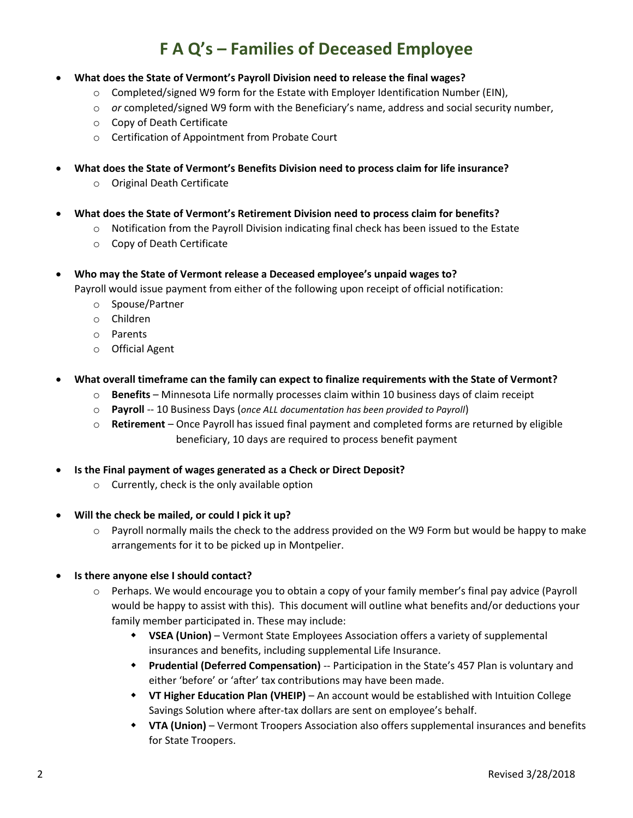# **F A Q's – Families of Deceased Employee**

- **What does the State of Vermont's Payroll Division need to release the final wages?**
	- $\circ$  Completed/signed W9 form for the Estate with Employer Identification Number (EIN),
	- o *or* completed/signed W9 form with the Beneficiary's name, address and social security number,
	- o Copy of Death Certificate
	- o Certification of Appointment from Probate Court
- **What does the State of Vermont's Benefits Division need to process claim for life insurance?**
	- o Original Death Certificate
- **What does the State of Vermont's Retirement Division need to process claim for benefits?**
	- $\circ$  Notification from the Payroll Division indicating final check has been issued to the Estate
	- o Copy of Death Certificate
- **Who may the State of Vermont release a Deceased employee's unpaid wages to?**

Payroll would issue payment from either of the following upon receipt of official notification:

- o Spouse/Partner
- o Children
- o Parents
- o Official Agent
- **What overall timeframe can the family can expect to finalize requirements with the State of Vermont?**
	- o **Benefits** Minnesota Life normally processes claim within 10 business days of claim receipt
	- o **Payroll** -- 10 Business Days (*once ALL documentation has been provided to Payroll*)
	- o **Retirement** Once Payroll has issued final payment and completed forms are returned by eligible beneficiary, 10 days are required to process benefit payment
- **Is the Final payment of wages generated as a Check or Direct Deposit?**
	- o Currently, check is the only available option
- **Will the check be mailed, or could I pick it up?**
	- $\circ$  Payroll normally mails the check to the address provided on the W9 Form but would be happy to make arrangements for it to be picked up in Montpelier.
- **Is there anyone else I should contact?**
	- o Perhaps. We would encourage you to obtain a copy of your family member's final pay advice (Payroll would be happy to assist with this). This document will outline what benefits and/or deductions your family member participated in. These may include:
		- **VSEA (Union)** Vermont State Employees Association offers a variety of supplemental insurances and benefits, including supplemental Life Insurance.
		- **Prudential (Deferred Compensation)** -- Participation in the State's 457 Plan is voluntary and either 'before' or 'after' tax contributions may have been made.
		- **VT Higher Education Plan (VHEIP)** An account would be established with Intuition College Savings Solution where after-tax dollars are sent on employee's behalf.
		- **VTA (Union)**  Vermont Troopers Association also offers supplemental insurances and benefits for State Troopers.